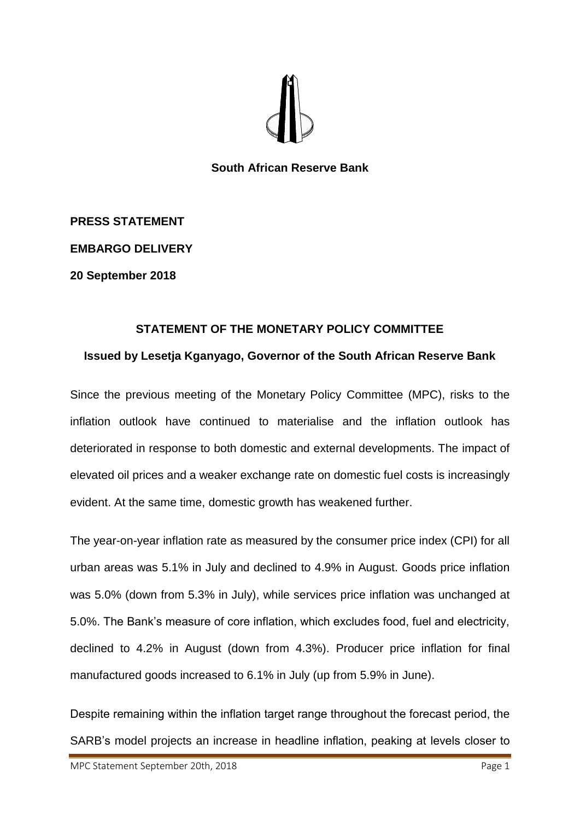

**South African Reserve Bank**

**PRESS STATEMENT**

**EMBARGO DELIVERY**

**20 September 2018**

## **STATEMENT OF THE MONETARY POLICY COMMITTEE**

## **Issued by Lesetja Kganyago, Governor of the South African Reserve Bank**

Since the previous meeting of the Monetary Policy Committee (MPC), risks to the inflation outlook have continued to materialise and the inflation outlook has deteriorated in response to both domestic and external developments. The impact of elevated oil prices and a weaker exchange rate on domestic fuel costs is increasingly evident. At the same time, domestic growth has weakened further.

The year-on-year inflation rate as measured by the consumer price index (CPI) for all urban areas was 5.1% in July and declined to 4.9% in August. Goods price inflation was 5.0% (down from 5.3% in July), while services price inflation was unchanged at 5.0%. The Bank's measure of core inflation, which excludes food, fuel and electricity, declined to 4.2% in August (down from 4.3%). Producer price inflation for final manufactured goods increased to 6.1% in July (up from 5.9% in June).

Despite remaining within the inflation target range throughout the forecast period, the SARB's model projects an increase in headline inflation, peaking at levels closer to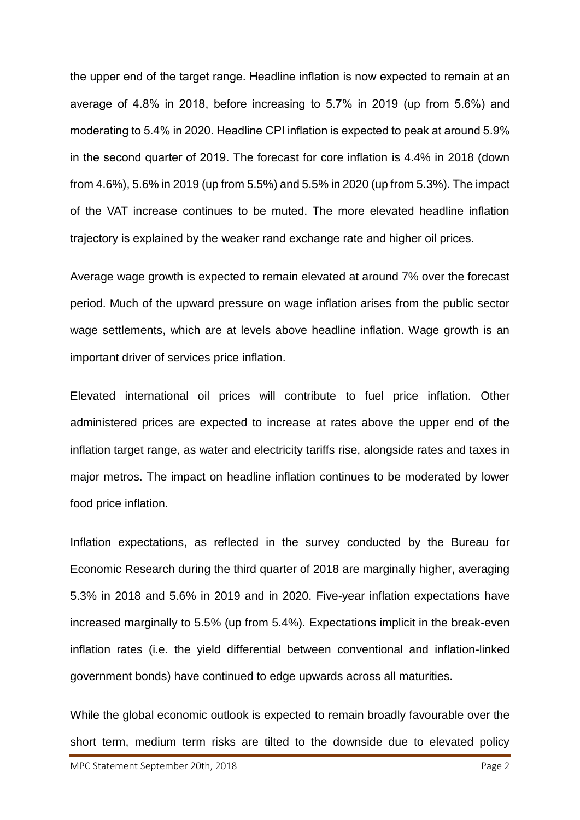the upper end of the target range. Headline inflation is now expected to remain at an average of 4.8% in 2018, before increasing to 5.7% in 2019 (up from 5.6%) and moderating to 5.4% in 2020. Headline CPI inflation is expected to peak at around 5.9% in the second quarter of 2019. The forecast for core inflation is 4.4% in 2018 (down from 4.6%), 5.6% in 2019 (up from 5.5%) and 5.5% in 2020 (up from 5.3%). The impact of the VAT increase continues to be muted. The more elevated headline inflation trajectory is explained by the weaker rand exchange rate and higher oil prices.

Average wage growth is expected to remain elevated at around 7% over the forecast period. Much of the upward pressure on wage inflation arises from the public sector wage settlements, which are at levels above headline inflation. Wage growth is an important driver of services price inflation.

Elevated international oil prices will contribute to fuel price inflation. Other administered prices are expected to increase at rates above the upper end of the inflation target range, as water and electricity tariffs rise, alongside rates and taxes in major metros. The impact on headline inflation continues to be moderated by lower food price inflation.

Inflation expectations, as reflected in the survey conducted by the Bureau for Economic Research during the third quarter of 2018 are marginally higher, averaging 5.3% in 2018 and 5.6% in 2019 and in 2020. Five-year inflation expectations have increased marginally to 5.5% (up from 5.4%). Expectations implicit in the break-even inflation rates (i.e. the yield differential between conventional and inflation-linked government bonds) have continued to edge upwards across all maturities.

While the global economic outlook is expected to remain broadly favourable over the short term, medium term risks are tilted to the downside due to elevated policy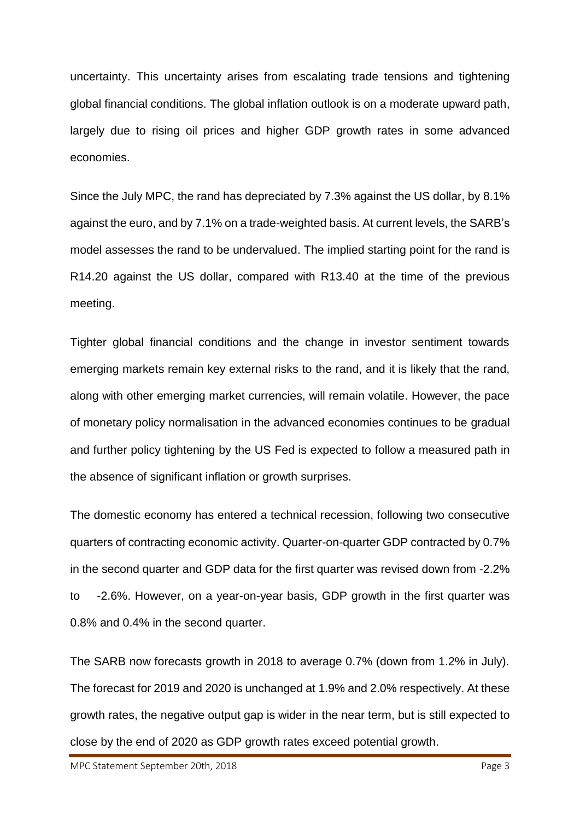uncertainty. This uncertainty arises from escalating trade tensions and tightening global financial conditions. The global inflation outlook is on a moderate upward path, largely due to rising oil prices and higher GDP growth rates in some advanced economies.

Since the July MPC, the rand has depreciated by 7.3% against the US dollar, by 8.1% against the euro, and by 7.1% on a trade-weighted basis. At current levels, the SARB's model assesses the rand to be undervalued. The implied starting point for the rand is R14.20 against the US dollar, compared with R13.40 at the time of the previous meeting.

Tighter global financial conditions and the change in investor sentiment towards emerging markets remain key external risks to the rand, and it is likely that the rand, along with other emerging market currencies, will remain volatile. However, the pace of monetary policy normalisation in the advanced economies continues to be gradual and further policy tightening by the US Fed is expected to follow a measured path in the absence of significant inflation or growth surprises.

The domestic economy has entered a technical recession, following two consecutive quarters of contracting economic activity. Quarter-on-quarter GDP contracted by 0.7% in the second quarter and GDP data for the first quarter was revised down from -2.2% to -2.6%. However, on a year-on-year basis, GDP growth in the first quarter was 0.8% and 0.4% in the second quarter.

The SARB now forecasts growth in 2018 to average 0.7% (down from 1.2% in July). The forecast for 2019 and 2020 is unchanged at 1.9% and 2.0% respectively. At these growth rates, the negative output gap is wider in the near term, but is still expected to close by the end of 2020 as GDP growth rates exceed potential growth.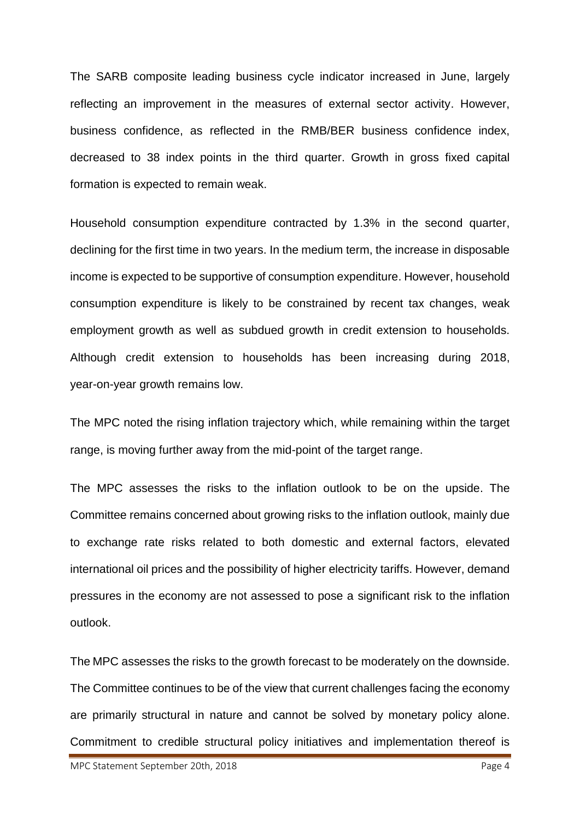The SARB composite leading business cycle indicator increased in June, largely reflecting an improvement in the measures of external sector activity. However, business confidence, as reflected in the RMB/BER business confidence index, decreased to 38 index points in the third quarter. Growth in gross fixed capital formation is expected to remain weak.

Household consumption expenditure contracted by 1.3% in the second quarter, declining for the first time in two years. In the medium term, the increase in disposable income is expected to be supportive of consumption expenditure. However, household consumption expenditure is likely to be constrained by recent tax changes, weak employment growth as well as subdued growth in credit extension to households. Although credit extension to households has been increasing during 2018, year-on-year growth remains low.

The MPC noted the rising inflation trajectory which, while remaining within the target range, is moving further away from the mid-point of the target range.

The MPC assesses the risks to the inflation outlook to be on the upside. The Committee remains concerned about growing risks to the inflation outlook, mainly due to exchange rate risks related to both domestic and external factors, elevated international oil prices and the possibility of higher electricity tariffs. However, demand pressures in the economy are not assessed to pose a significant risk to the inflation outlook.

The MPC assesses the risks to the growth forecast to be moderately on the downside. The Committee continues to be of the view that current challenges facing the economy are primarily structural in nature and cannot be solved by monetary policy alone. Commitment to credible structural policy initiatives and implementation thereof is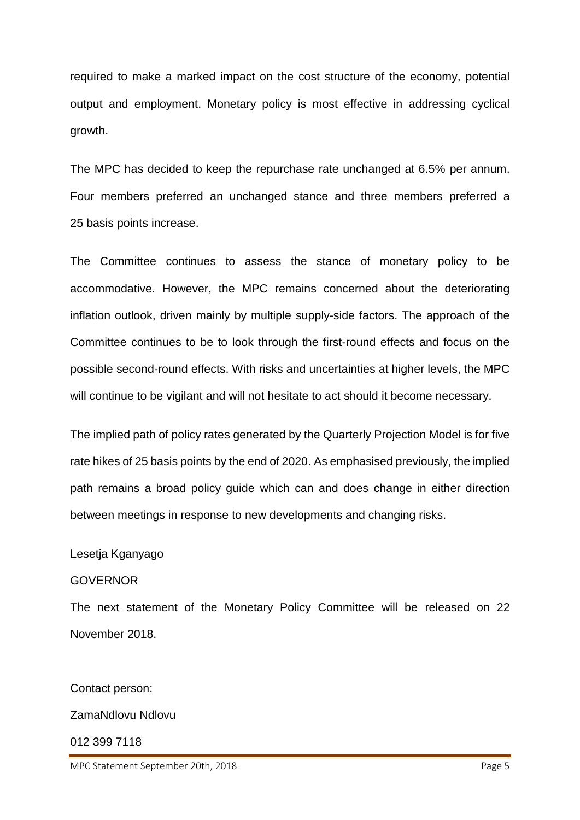required to make a marked impact on the cost structure of the economy, potential output and employment. Monetary policy is most effective in addressing cyclical growth.

The MPC has decided to keep the repurchase rate unchanged at 6.5% per annum. Four members preferred an unchanged stance and three members preferred a 25 basis points increase.

The Committee continues to assess the stance of monetary policy to be accommodative. However, the MPC remains concerned about the deteriorating inflation outlook, driven mainly by multiple supply-side factors. The approach of the Committee continues to be to look through the first-round effects and focus on the possible second-round effects. With risks and uncertainties at higher levels, the MPC will continue to be vigilant and will not hesitate to act should it become necessary.

The implied path of policy rates generated by the Quarterly Projection Model is for five rate hikes of 25 basis points by the end of 2020. As emphasised previously, the implied path remains a broad policy guide which can and does change in either direction between meetings in response to new developments and changing risks.

## Lesetja Kganyago

## **GOVERNOR**

The next statement of the Monetary Policy Committee will be released on 22 November 2018.

Contact person:

ZamaNdlovu Ndlovu

012 399 7118